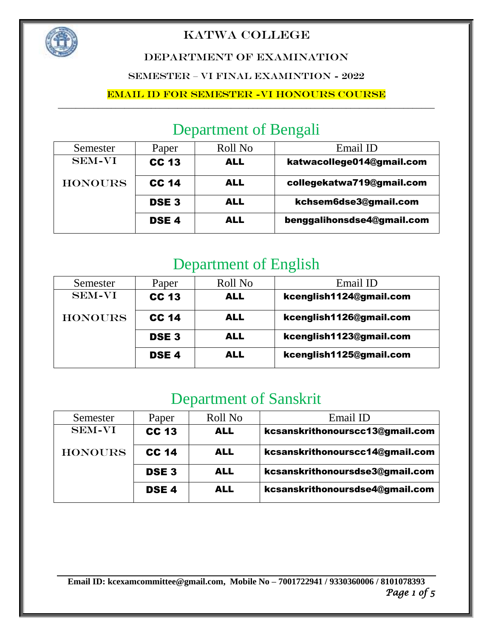

### DEPARTMENT OF EXAMINATION

SEMESTER – VI FINAL EXAMINTION - 2022

### Email ID for Semester -VI HONOURS course

# Department of Bengali

| Semester       | Paper        | Roll No    | Email ID                   |
|----------------|--------------|------------|----------------------------|
| <b>SEM-VI</b>  | <b>CC 13</b> | <b>ALL</b> | katwacollege014@gmail.com  |
| <b>HONOURS</b> | <b>CC 14</b> | <b>ALL</b> | collegekatwa719@gmail.com  |
|                | <b>DSE3</b>  | <b>ALL</b> | kchsem6dse3@gmail.com      |
|                | <b>DSE4</b>  | <b>ALL</b> | benggalihonsdse4@gmail.com |

# Department of English

| Semester       | Paper        | Roll No    | Email ID                |
|----------------|--------------|------------|-------------------------|
| <b>SEM-VI</b>  | <b>CC 13</b> | <b>ALL</b> | kcenglish1124@gmail.com |
| <b>HONOURS</b> | <b>CC 14</b> | <b>ALL</b> | kcenglish1126@gmail.com |
|                | <b>DSE3</b>  | <b>ALL</b> | kcenglish1123@gmail.com |
|                | <b>DSE4</b>  | <b>ALL</b> | kcenglish1125@gmail.com |

# Department of Sanskrit

| Semester       | Paper        | Roll No    | Email ID                        |
|----------------|--------------|------------|---------------------------------|
| <b>SEM-VI</b>  | <b>CC 13</b> | <b>ALL</b> | kcsanskrithonourscc13@gmail.com |
| <b>HONOURS</b> | <b>CC 14</b> | <b>ALL</b> | kcsanskrithonourscc14@gmail.com |
|                | <b>DSE3</b>  | <b>ALL</b> | kcsanskrithonoursdse3@gmail.com |
|                | <b>DSE4</b>  | <b>ALL</b> | kcsanskrithonoursdse4@gmail.com |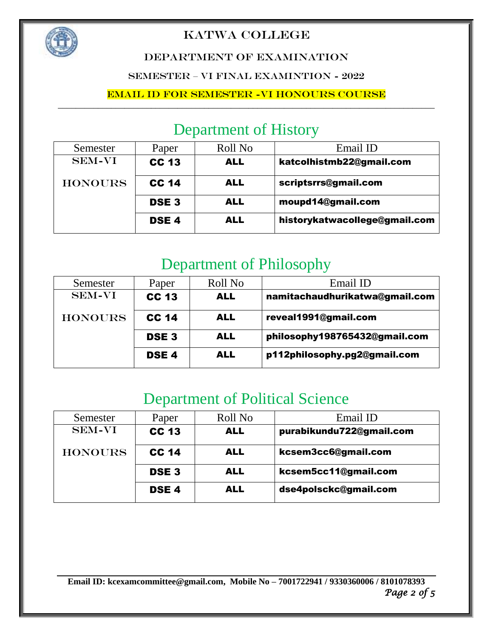

### DEPARTMENT OF EXAMINATION

SEMESTER – VI FINAL EXAMINTION - 2022

### Email ID for Semester -VI HONOURS course

# Department of History

| Semester       | Paper        | Roll No    | Email ID                      |
|----------------|--------------|------------|-------------------------------|
| <b>SEM-VI</b>  | <b>CC 13</b> | <b>ALL</b> | katcolhistmb22@gmail.com      |
| <b>HONOURS</b> | <b>CC 14</b> | <b>ALL</b> | scriptsrrs@gmail.com          |
|                | <b>DSE3</b>  | <b>ALL</b> | moupd14@gmail.com             |
|                | <b>DSE4</b>  | <b>ALL</b> | historykatwacollege@gmail.com |

# Department of Philosophy

| Semester       | Paper        | Roll No    | Email ID                       |
|----------------|--------------|------------|--------------------------------|
| <b>SEM-VI</b>  | <b>CC 13</b> | <b>ALL</b> | namitachaudhurikatwa@gmail.com |
| <b>HONOURS</b> | <b>CC 14</b> | <b>ALL</b> | reveal1991@gmail.com           |
|                | <b>DSE3</b>  | <b>ALL</b> | philosophy198765432@gmail.com  |
|                | <b>DSE4</b>  | <b>ALL</b> | p112philosophy.pg2@gmail.com   |

# Department of Political Science

| Semester       | Paper        | Roll No    | Email ID                 |
|----------------|--------------|------------|--------------------------|
| <b>SEM-VI</b>  | <b>CC 13</b> | <b>ALL</b> | purabikundu722@gmail.com |
| <b>HONOURS</b> | <b>CC 14</b> | <b>ALL</b> | kcsem3cc6@gmail.com      |
|                | <b>DSE3</b>  | <b>ALL</b> | kcsem5cc11@gmail.com     |
|                | <b>DSE4</b>  | <b>ALL</b> | dse4polsckc@gmail.com    |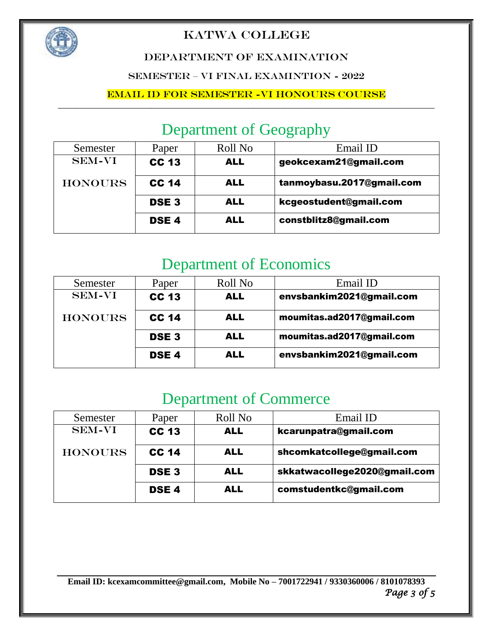

### DEPARTMENT OF EXAMINATION

SEMESTER – VI FINAL EXAMINTION - 2022

### Email ID for Semester -VI HONOURS course

# Department of Geography

| Semester       | Paper        | Roll No    | Email ID                  |
|----------------|--------------|------------|---------------------------|
| <b>SEM-VI</b>  | <b>CC 13</b> | <b>ALL</b> | geokcexam21@gmail.com     |
| <b>HONOURS</b> | <b>CC 14</b> | <b>ALL</b> | tanmoybasu.2017@gmail.com |
|                | <b>DSE3</b>  | <b>ALL</b> | kcgeostudent@gmail.com    |
|                | <b>DSE4</b>  | <b>ALL</b> | constblitz8@gmail.com     |

# Department of Economics

| Semester       | Paper        | Roll No    | Email ID                  |
|----------------|--------------|------------|---------------------------|
| <b>SEM-VI</b>  | <b>CC 13</b> | <b>ALL</b> | envsbankim2021@gmail.com  |
| <b>HONOURS</b> | <b>CC 14</b> | <b>ALL</b> | moumitas.ad2017@gmail.com |
|                | <b>DSE3</b>  | <b>ALL</b> | moumitas.ad2017@gmail.com |
|                | <b>DSE4</b>  | <b>ALL</b> | envsbankim2021@gmail.com  |

# Department of Commerce

| Semester       | Paper            | Roll No    | Email ID                     |
|----------------|------------------|------------|------------------------------|
| <b>SEM-VI</b>  | <b>CC 13</b>     | <b>ALL</b> | kcarunpatra@gmail.com        |
| <b>HONOURS</b> | <b>CC 14</b>     | <b>ALL</b> | shcomkatcollege@gmail.com    |
|                | <b>DSE3</b>      | <b>ALL</b> | skkatwacollege2020@gmail.com |
|                | DSE <sub>4</sub> | <b>ALL</b> | comstudentkc@gmail.com       |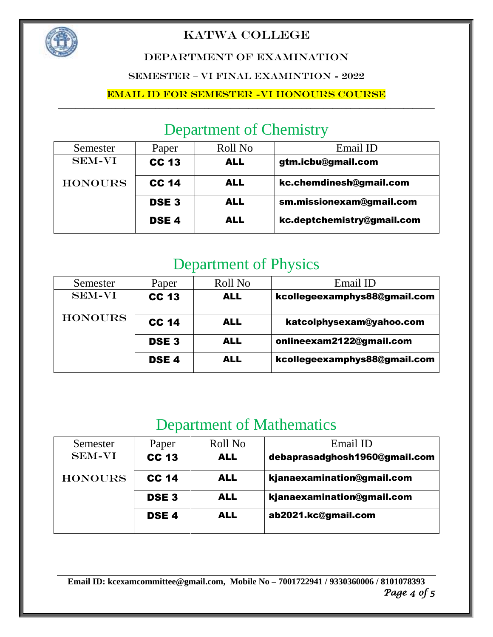

### DEPARTMENT OF EXAMINATION

### SEMESTER – VI FINAL EXAMINTION - 2022

### Email ID for Semester -VI HONOURS course

# Department of Chemistry

| Semester       | Paper        | Roll No    | Email ID                   |
|----------------|--------------|------------|----------------------------|
| <b>SEM-VI</b>  | <b>CC 13</b> | <b>ALL</b> | gtm.icbu@gmail.com         |
| <b>HONOURS</b> | <b>CC 14</b> | <b>ALL</b> | kc.chemdinesh@gmail.com    |
|                | <b>DSE3</b>  | <b>ALL</b> | sm.missionexam@gmail.com   |
|                | <b>DSE4</b>  | <b>ALL</b> | kc.deptchemistry@gmail.com |

# Department of Physics

| Semester       | Paper            | Roll No    | Email ID                     |
|----------------|------------------|------------|------------------------------|
| <b>SEM-VI</b>  | <b>CC 13</b>     | <b>ALL</b> | kcollegeexamphys88@gmail.com |
| <b>HONOURS</b> | <b>CC 14</b>     | <b>ALL</b> | katcolphysexam@yahoo.com     |
|                | <b>DSE3</b>      | <b>ALL</b> | onlineexam2122@gmail.com     |
|                | DSE <sub>4</sub> | <b>ALL</b> | kcollegeexamphys88@gmail.com |

# Department of Mathematics

| Semester       | Paper            | Roll No    | Email ID                      |
|----------------|------------------|------------|-------------------------------|
| <b>SEM-VI</b>  | <b>CC 13</b>     | <b>ALL</b> | debaprasadghosh1960@gmail.com |
| <b>HONOURS</b> | <b>CC 14</b>     | <b>ALL</b> | kjanaexamination@gmail.com    |
|                | <b>DSE3</b>      | <b>ALL</b> | kjanaexamination@gmail.com    |
|                | DSE <sub>4</sub> | ALL        | ab2021.kc@gmail.com           |
|                |                  |            |                               |